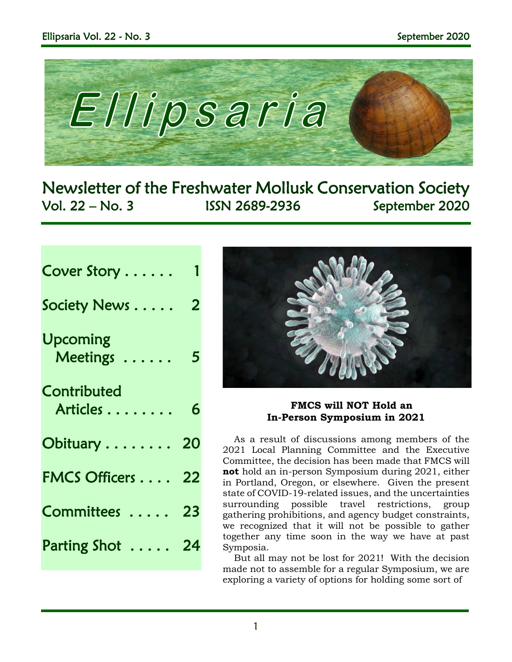

Newsletter of the Freshwater Mollusk Conservation Society Vol. 22 – No. 3 ISSN 2689-2936 September 2020

| Cover Story |  |  |  |  |  |
|-------------|--|--|--|--|--|
|             |  |  |  |  |  |

Society News . . . . .

| Upcoming<br>Meetings    | 5  |
|-------------------------|----|
| Contributed<br>Articles | 6  |
| Obituary 20             |    |
| <b>FMCS Officers </b>   | 22 |
| Committees              | 23 |
| Parting Shot            | 24 |
|                         |    |



## **FMCS will NOT Hold an In-Person Symposium in 2021**

As a result of discussions among members of the 2021 Local Planning Committee and the Executive Committee, the decision has been made that FMCS will **not** hold an in-person Symposium during 2021, either in Portland, Oregon, or elsewhere. Given the present state of COVID-19-related issues, and the uncertainties surrounding possible travel restrictions, group gathering prohibitions, and agency budget constraints, we recognized that it will not be possible to gather together any time soon in the way we have at past Symposia.

But all may not be lost for 2021! With the decision made not to assemble for a regular Symposium, we are exploring a variety of options for holding some sort of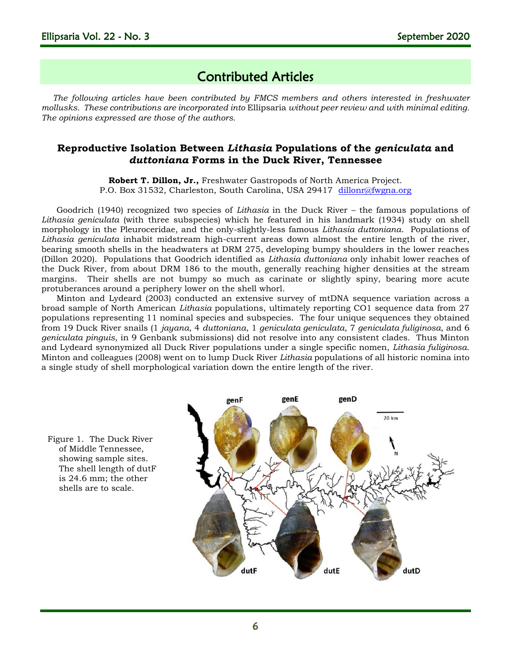## Contributed Articles

*The following articles have been contributed by FMCS members and others interested in freshwater mollusks. These contributions are incorporated into* Ellipsaria *without peer review and with minimal editing. The opinions expressed are those of the authors.*

## **Reproductive Isolation Between** *Lithasia* **Populations of the** *geniculata* **and**  *duttoniana* **Forms in the Duck River, Tennessee**

**Robert T. Dillon, Jr.,** Freshwater Gastropods of North America Project. P.O. Box 31532, Charleston, South Carolina, USA 29417 [dillonr@fwgna.org](mailto:dillonr@fwgna.org)

Goodrich (1940) recognized two species of *Lithasia* in the Duck River – the famous populations of *Lithasia geniculata* (with three subspecies) which he featured in his landmark (1934) study on shell morphology in the Pleuroceridae, and the only-slightly-less famous *Lithasia duttoniana*. Populations of *Lithasia geniculata* inhabit midstream high-current areas down almost the entire length of the river, bearing smooth shells in the headwaters at DRM 275, developing bumpy shoulders in the lower reaches (Dillon 2020). Populations that Goodrich identified as *Lithasia duttoniana* only inhabit lower reaches of the Duck River, from about DRM 186 to the mouth, generally reaching higher densities at the stream margins. Their shells are not bumpy so much as carinate or slightly spiny, bearing more acute protuberances around a periphery lower on the shell whorl.

Minton and Lydeard (2003) conducted an extensive survey of mtDNA sequence variation across a broad sample of North American *Lithasia* populations, ultimately reporting CO1 sequence data from 27 populations representing 11 nominal species and subspecies. The four unique sequences they obtained from 19 Duck River snails (1 *jayana*, 4 *duttoniana*, 1 *geniculata geniculata*, 7 *geniculata fuliginosa*, and 6 *geniculata pinguis*, in 9 Genbank submissions) did not resolve into any consistent clades. Thus Minton and Lydeard synonymized all Duck River populations under a single specific nomen, *Lithasia fuliginosa*. Minton and colleagues (2008) went on to lump Duck River *Lithasia* populations of all historic nomina into a single study of shell morphological variation down the entire length of the river.

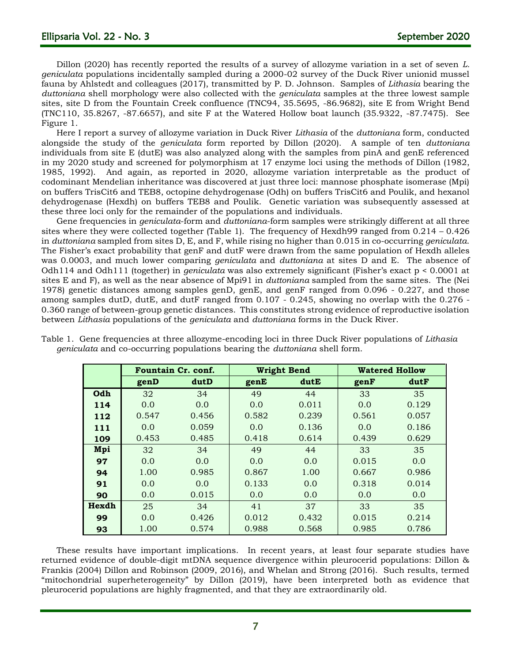Dillon (2020) has recently reported the results of a survey of allozyme variation in a set of seven *L. geniculata* populations incidentally sampled during a 2000-02 survey of the Duck River unionid mussel fauna by Ahlstedt and colleagues (2017), transmitted by P. D. Johnson. Samples of *Lithasia* bearing the *duttoniana* shell morphology were also collected with the *geniculata* samples at the three lowest sample sites, site D from the Fountain Creek confluence (TNC94, 35.5695, -86.9682), site E from Wright Bend (TNC110, 35.8267, -87.6657), and site F at the Watered Hollow boat launch (35.9322, -87.7475). See Figure 1.

Here I report a survey of allozyme variation in Duck River *Lithasia* of the *duttoniana* form, conducted alongside the study of the *geniculata* form reported by Dillon (2020). A sample of ten *duttoniana* individuals from site E (dutE) was also analyzed along with the samples from pinA and genE referenced in my 2020 study and screened for polymorphism at 17 enzyme loci using the methods of Dillon (1982, 1985, 1992). And again, as reported in 2020, allozyme variation interpretable as the product of codominant Mendelian inheritance was discovered at just three loci: mannose phosphate isomerase (Mpi) on buffers TrisCit6 and TEB8, octopine dehydrogenase (Odh) on buffers TrisCit6 and Poulik, and hexanol dehydrogenase (Hexdh) on buffers TEB8 and Poulik. Genetic variation was subsequently assessed at these three loci only for the remainder of the populations and individuals.

Gene frequencies in *geniculata*-form and *duttoniana*-form samples were strikingly different at all three sites where they were collected together (Table 1). The frequency of Hexdh99 ranged from 0.214 – 0.426 in *duttoniana* sampled from sites D, E, and F, while rising no higher than 0.015 in co-occurring *geniculata*. The Fisher's exact probability that genF and dutF were drawn from the same population of Hexdh alleles was 0.0003, and much lower comparing *geniculata* and *duttoniana* at sites D and E. The absence of Odh114 and Odh111 (together) in *geniculata* was also extremely significant (Fisher's exact p < 0.0001 at sites E and F), as well as the near absence of Mpi91 in *duttoniana* sampled from the same sites. The (Nei 1978) genetic distances among samples genD, genE, and genF ranged from 0.096 - 0.227, and those among samples dutD, dutE, and dutF ranged from 0.107 - 0.245, showing no overlap with the 0.276 - 0.360 range of between-group genetic distances. This constitutes strong evidence of reproductive isolation between *Lithasia* populations of the *geniculata* and *duttoniana* forms in the Duck River.

|       | Fountain Cr. conf. |       |       | <b>Wright Bend</b> | <b>Watered Hollow</b> |       |  |
|-------|--------------------|-------|-------|--------------------|-----------------------|-------|--|
|       | genD               | dutD  | genE  | dutE               | genF                  | dutF  |  |
| Odh   | 32                 | 34    | 49    | 44                 | 33                    | 35    |  |
| 114   | 0.0                | 0.0   | 0.0   | 0.011              | 0.0                   | 0.129 |  |
| 112   | 0.547              | 0.456 | 0.582 | 0.239              | 0.561                 | 0.057 |  |
| 111   | 0.0                | 0.059 | 0.0   | 0.136              | 0.0                   | 0.186 |  |
| 109   | 0.453              | 0.485 | 0.418 | 0.614              | 0.439                 | 0.629 |  |
| Mpi   | 32                 | 34    | 49    | 44                 | 33                    | 35    |  |
| 97    | 0.0                | 0.0   | 0.0   | 0.0                | 0.015                 | 0.0   |  |
| 94    | 1.00               | 0.985 | 0.867 | 1.00               | 0.667                 | 0.986 |  |
| 91    | 0.0                | 0.0   | 0.133 | 0.0                | 0.318                 | 0.014 |  |
| 90    | 0.0                | 0.015 | 0.0   | 0.0                | 0.0                   | 0.0   |  |
| Hexdh | 25                 | 34    | 41    | 37                 | 33                    | 35    |  |
| 99    | 0.0                | 0.426 | 0.012 | 0.432              | 0.015                 | 0.214 |  |
| 93    | 1.00               | 0.574 | 0.988 | 0.568              | 0.985                 | 0.786 |  |

Table 1. Gene frequencies at three allozyme-encoding loci in three Duck River populations of *Lithasia geniculata* and co-occurring populations bearing the *duttoniana* shell form.

These results have important implications. In recent years, at least four separate studies have returned evidence of double-digit mtDNA sequence divergence within pleurocerid populations: Dillon & Frankis (2004) Dillon and Robinson (2009, 2016), and Whelan and Strong (2016). Such results, termed "mitochondrial superheterogeneity" by Dillon (2019), have been interpreted both as evidence that pleurocerid populations are highly fragmented, and that they are extraordinarily old.